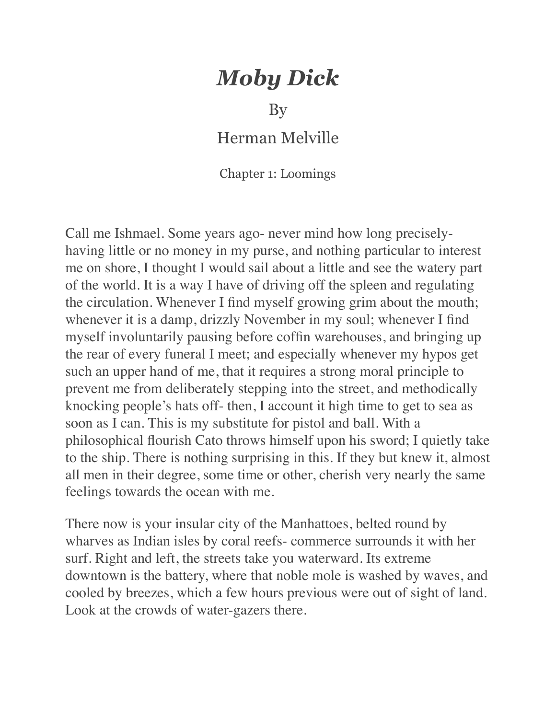## *Moby Dick*

By

Herman Melville

Chapter 1: Loomings

Call me Ishmael. Some years ago- never mind how long preciselyhaving little or no money in my purse, and nothing particular to interest me on shore, I thought I would sail about a little and see the watery part of the world. It is a way I have of driving off the spleen and regulating the circulation. Whenever I find myself growing grim about the mouth; whenever it is a damp, drizzly November in my soul; whenever I find myself involuntarily pausing before coffin warehouses, and bringing up the rear of every funeral I meet; and especially whenever my hypos get such an upper hand of me, that it requires a strong moral principle to prevent me from deliberately stepping into the street, and methodically knocking people's hats off- then, I account it high time to get to sea as soon as I can. This is my substitute for pistol and ball. With a philosophical flourish Cato throws himself upon his sword; I quietly take to the ship. There is nothing surprising in this. If they but knew it, almost all men in their degree, some time or other, cherish very nearly the same feelings towards the ocean with me.

There now is your insular city of the Manhattoes, belted round by wharves as Indian isles by coral reefs- commerce surrounds it with her surf. Right and left, the streets take you waterward. Its extreme downtown is the battery, where that noble mole is washed by waves, and cooled by breezes, which a few hours previous were out of sight of land. Look at the crowds of water-gazers there.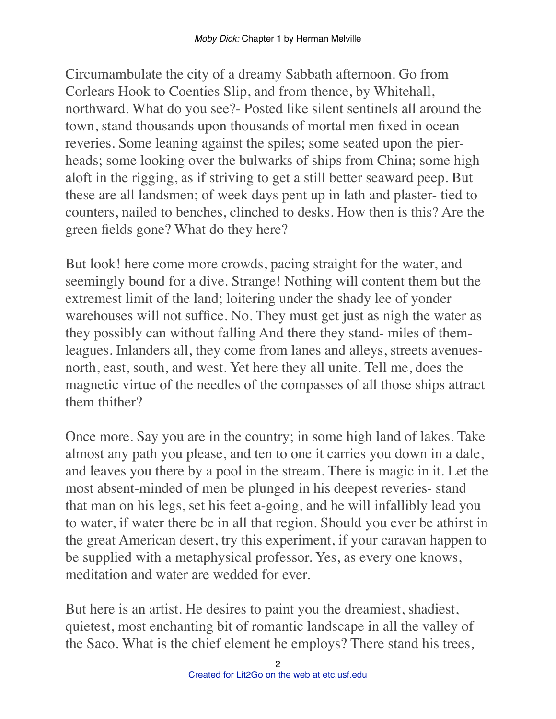Circumambulate the city of a dreamy Sabbath afternoon. Go from Corlears Hook to Coenties Slip, and from thence, by Whitehall, northward. What do you see?- Posted like silent sentinels all around the town, stand thousands upon thousands of mortal men fixed in ocean reveries. Some leaning against the spiles; some seated upon the pierheads; some looking over the bulwarks of ships from China; some high aloft in the rigging, as if striving to get a still better seaward peep. But these are all landsmen; of week days pent up in lath and plaster- tied to counters, nailed to benches, clinched to desks. How then is this? Are the green fields gone? What do they here?

But look! here come more crowds, pacing straight for the water, and seemingly bound for a dive. Strange! Nothing will content them but the extremest limit of the land; loitering under the shady lee of yonder warehouses will not suffice. No. They must get just as nigh the water as they possibly can without falling And there they stand- miles of themleagues. Inlanders all, they come from lanes and alleys, streets avenuesnorth, east, south, and west. Yet here they all unite. Tell me, does the magnetic virtue of the needles of the compasses of all those ships attract them thither?

Once more. Say you are in the country; in some high land of lakes. Take almost any path you please, and ten to one it carries you down in a dale, and leaves you there by a pool in the stream. There is magic in it. Let the most absent-minded of men be plunged in his deepest reveries- stand that man on his legs, set his feet a-going, and he will infallibly lead you to water, if water there be in all that region. Should you ever be athirst in the great American desert, try this experiment, if your caravan happen to be supplied with a metaphysical professor. Yes, as every one knows, meditation and water are wedded for ever.

But here is an artist. He desires to paint you the dreamiest, shadiest, quietest, most enchanting bit of romantic landscape in all the valley of the Saco. What is the chief element he employs? There stand his trees,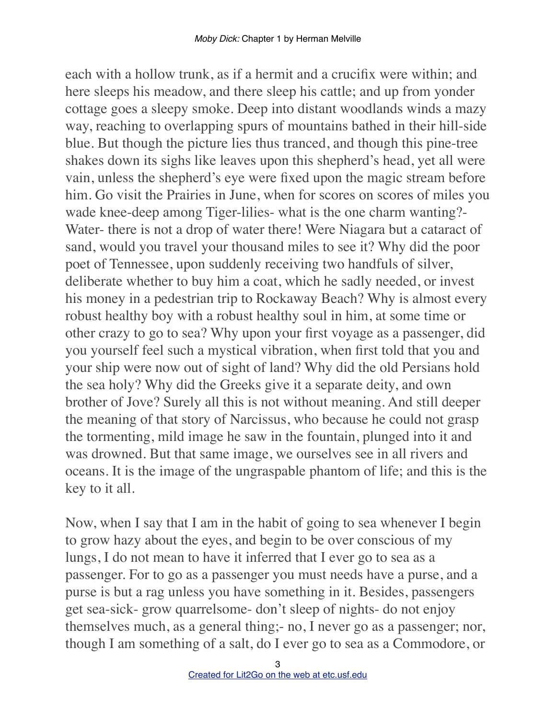each with a hollow trunk, as if a hermit and a crucifix were within; and here sleeps his meadow, and there sleep his cattle; and up from yonder cottage goes a sleepy smoke. Deep into distant woodlands winds a mazy way, reaching to overlapping spurs of mountains bathed in their hill-side blue. But though the picture lies thus tranced, and though this pine-tree shakes down its sighs like leaves upon this shepherd's head, yet all were vain, unless the shepherd's eye were fixed upon the magic stream before him. Go visit the Prairies in June, when for scores on scores of miles you wade knee-deep among Tiger-lilies- what is the one charm wanting?- Water- there is not a drop of water there! Were Niagara but a cataract of sand, would you travel your thousand miles to see it? Why did the poor poet of Tennessee, upon suddenly receiving two handfuls of silver, deliberate whether to buy him a coat, which he sadly needed, or invest his money in a pedestrian trip to Rockaway Beach? Why is almost every robust healthy boy with a robust healthy soul in him, at some time or other crazy to go to sea? Why upon your first voyage as a passenger, did you yourself feel such a mystical vibration, when first told that you and your ship were now out of sight of land? Why did the old Persians hold the sea holy? Why did the Greeks give it a separate deity, and own brother of Jove? Surely all this is not without meaning. And still deeper the meaning of that story of Narcissus, who because he could not grasp the tormenting, mild image he saw in the fountain, plunged into it and was drowned. But that same image, we ourselves see in all rivers and oceans. It is the image of the ungraspable phantom of life; and this is the key to it all.

Now, when I say that I am in the habit of going to sea whenever I begin to grow hazy about the eyes, and begin to be over conscious of my lungs, I do not mean to have it inferred that I ever go to sea as a passenger. For to go as a passenger you must needs have a purse, and a purse is but a rag unless you have something in it. Besides, passengers get sea-sick- grow quarrelsome- don't sleep of nights- do not enjoy themselves much, as a general thing;- no, I never go as a passenger; nor, though I am something of a salt, do I ever go to sea as a Commodore, or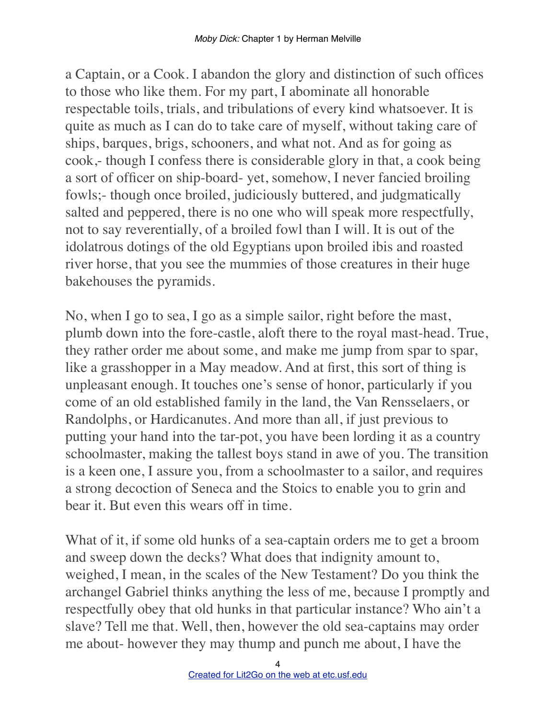a Captain, or a Cook. I abandon the glory and distinction of such offices to those who like them. For my part, I abominate all honorable respectable toils, trials, and tribulations of every kind whatsoever. It is quite as much as I can do to take care of myself, without taking care of ships, barques, brigs, schooners, and what not. And as for going as cook,- though I confess there is considerable glory in that, a cook being a sort of officer on ship-board- yet, somehow, I never fancied broiling fowls;- though once broiled, judiciously buttered, and judgmatically salted and peppered, there is no one who will speak more respectfully, not to say reverentially, of a broiled fowl than I will. It is out of the idolatrous dotings of the old Egyptians upon broiled ibis and roasted river horse, that you see the mummies of those creatures in their huge bakehouses the pyramids.

No, when I go to sea, I go as a simple sailor, right before the mast, plumb down into the fore-castle, aloft there to the royal mast-head. True, they rather order me about some, and make me jump from spar to spar, like a grasshopper in a May meadow. And at first, this sort of thing is unpleasant enough. It touches one's sense of honor, particularly if you come of an old established family in the land, the Van Rensselaers, or Randolphs, or Hardicanutes. And more than all, if just previous to putting your hand into the tar-pot, you have been lording it as a country schoolmaster, making the tallest boys stand in awe of you. The transition is a keen one, I assure you, from a schoolmaster to a sailor, and requires a strong decoction of Seneca and the Stoics to enable you to grin and bear it. But even this wears off in time.

What of it, if some old hunks of a sea-captain orders me to get a broom and sweep down the decks? What does that indignity amount to, weighed, I mean, in the scales of the New Testament? Do you think the archangel Gabriel thinks anything the less of me, because I promptly and respectfully obey that old hunks in that particular instance? Who ain't a slave? Tell me that. Well, then, however the old sea-captains may order me about- however they may thump and punch me about, I have the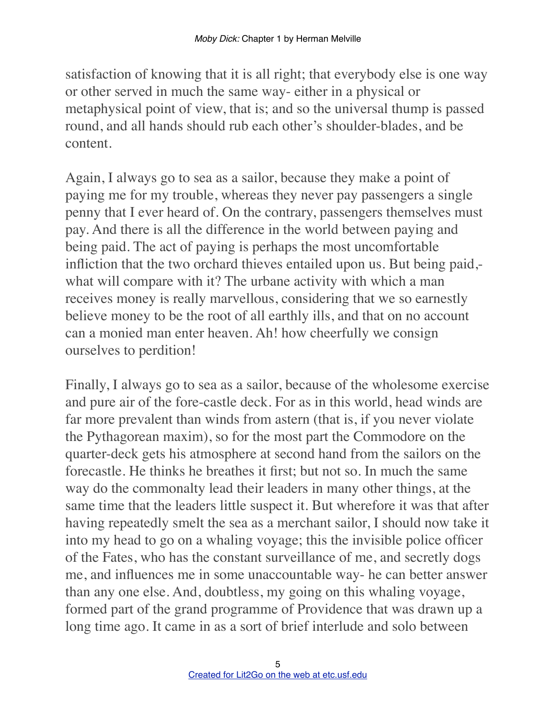satisfaction of knowing that it is all right; that everybody else is one way or other served in much the same way- either in a physical or metaphysical point of view, that is; and so the universal thump is passed round, and all hands should rub each other's shoulder-blades, and be content.

Again, I always go to sea as a sailor, because they make a point of paying me for my trouble, whereas they never pay passengers a single penny that I ever heard of. On the contrary, passengers themselves must pay. And there is all the difference in the world between paying and being paid. The act of paying is perhaps the most uncomfortable infliction that the two orchard thieves entailed upon us. But being paid, what will compare with it? The urbane activity with which a man receives money is really marvellous, considering that we so earnestly believe money to be the root of all earthly ills, and that on no account can a monied man enter heaven. Ah! how cheerfully we consign ourselves to perdition!

Finally, I always go to sea as a sailor, because of the wholesome exercise and pure air of the fore-castle deck. For as in this world, head winds are far more prevalent than winds from astern (that is, if you never violate the Pythagorean maxim), so for the most part the Commodore on the quarter-deck gets his atmosphere at second hand from the sailors on the forecastle. He thinks he breathes it first; but not so. In much the same way do the commonalty lead their leaders in many other things, at the same time that the leaders little suspect it. But wherefore it was that after having repeatedly smelt the sea as a merchant sailor, I should now take it into my head to go on a whaling voyage; this the invisible police officer of the Fates, who has the constant surveillance of me, and secretly dogs me, and influences me in some unaccountable way- he can better answer than any one else. And, doubtless, my going on this whaling voyage, formed part of the grand programme of Providence that was drawn up a long time ago. It came in as a sort of brief interlude and solo between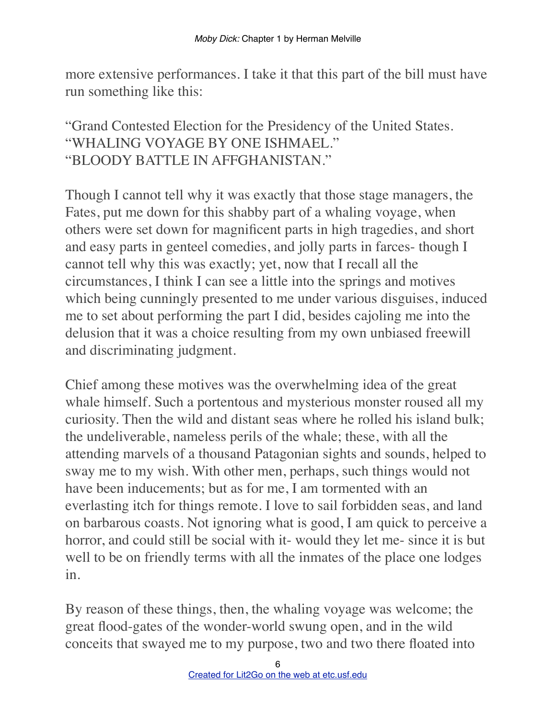more extensive performances. I take it that this part of the bill must have run something like this:

## "Grand Contested Election for the Presidency of the United States. "WHALING VOYAGE BY ONE ISHMAEL." "BLOODY BATTLE IN AFFGHANISTAN."

Though I cannot tell why it was exactly that those stage managers, the Fates, put me down for this shabby part of a whaling voyage, when others were set down for magnificent parts in high tragedies, and short and easy parts in genteel comedies, and jolly parts in farces- though I cannot tell why this was exactly; yet, now that I recall all the circumstances, I think I can see a little into the springs and motives which being cunningly presented to me under various disguises, induced me to set about performing the part I did, besides cajoling me into the delusion that it was a choice resulting from my own unbiased freewill and discriminating judgment.

Chief among these motives was the overwhelming idea of the great whale himself. Such a portentous and mysterious monster roused all my curiosity. Then the wild and distant seas where he rolled his island bulk; the undeliverable, nameless perils of the whale; these, with all the attending marvels of a thousand Patagonian sights and sounds, helped to sway me to my wish. With other men, perhaps, such things would not have been inducements; but as for me, I am tormented with an everlasting itch for things remote. I love to sail forbidden seas, and land on barbarous coasts. Not ignoring what is good, I am quick to perceive a horror, and could still be social with it- would they let me- since it is but well to be on friendly terms with all the inmates of the place one lodges in.

By reason of these things, then, the whaling voyage was welcome; the great flood-gates of the wonder-world swung open, and in the wild conceits that swayed me to my purpose, two and two there floated into